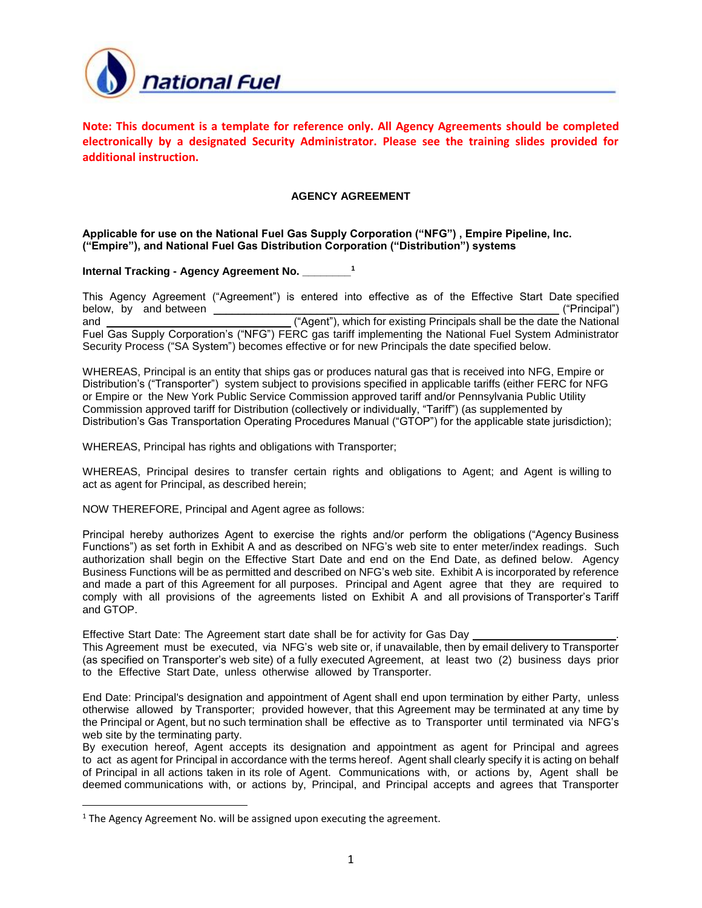

**Note: This document is a template for reference only. All Agency Agreements should be completed electronically by a designated Security Administrator. Please see the training slides provided for additional instruction.**

### **AGENCY AGREEMENT**

# **Applicable for use on the National Fuel Gas Supply Corporation ("NFG") , Empire Pipeline, Inc. ("Empire"), and National Fuel Gas Distribution Corporation ("Distribution") systems**

# **Internal Tracking - Agency Agreement No. \_\_\_\_\_\_\_\_<sup>1</sup>**

This Agency Agreement ("Agreement") is entered into effective as of the Effective Start Date specified below, by and between \_\_\_\_\_\_\_\_\_\_\_\_\_\_\_\_\_\_\_\_\_\_\_\_\_\_\_\_\_\_\_\_\_\_\_\_\_\_\_\_\_\_\_\_\_\_\_\_\_\_\_\_\_\_\_\_\_ ("Principal") and \_\_\_\_\_\_\_\_\_\_\_\_\_\_\_\_\_\_\_\_\_\_\_\_\_\_\_\_\_\_ ("Agent"), which for existing Principals shall be the date the National Fuel Gas Supply Corporation's ("NFG") FERC gas tariff implementing the National Fuel System Administrator Security Process ("SA System") becomes effective or for new Principals the date specified below.

WHEREAS, Principal is an entity that ships gas or produces natural gas that is received into NFG, Empire or Distribution's ("Transporter") system subject to provisions specified in applicable tariffs (either FERC for NFG or Empire or the New York Public Service Commission approved tariff and/or Pennsylvania Public Utility Commission approved tariff for Distribution (collectively or individually, "Tariff") (as supplemented by Distribution's Gas Transportation Operating Procedures Manual ("GTOP") for the applicable state jurisdiction);

WHEREAS, Principal has rights and obligations with Transporter;

WHEREAS, Principal desires to transfer certain rights and obligations to Agent; and Agent is willing to act as agent for Principal, as described herein;

NOW THEREFORE, Principal and Agent agree as follows:

Principal hereby authorizes Agent to exercise the rights and/or perform the obligations ("Agency Business Functions") as set forth in Exhibit A and as described on NFG's web site to enter meter/index readings. Such authorization shall begin on the Effective Start Date and end on the End Date, as defined below. Agency Business Functions will be as permitted and described on NFG's web site. Exhibit A is incorporated by reference and made a part of this Agreement for all purposes. Principal and Agent agree that they are required to comply with all provisions of the agreements listed on Exhibit A and all provisions of Transporter's Tariff and GTOP.

Effective Start Date: The Agreement start date shall be for activity for Gas Day

This Agreement must be executed, via NFG's web site or, if unavailable, then by email delivery to Transporter (as specified on Transporter's web site) of a fully executed Agreement, at least two (2) business days prior to the Effective Start Date, unless otherwise allowed by Transporter.

End Date: Principal's designation and appointment of Agent shall end upon termination by either Party, unless otherwise allowed by Transporter; provided however, that this Agreement may be terminated at any time by the Principal or Agent, but no such termination shall be effective as to Transporter until terminated via NFG's web site by the terminating party.

By execution hereof, Agent accepts its designation and appointment as agent for Principal and agrees to act as agent for Principal in accordance with the terms hereof. Agent shall clearly specify it is acting on behalf of Principal in all actions taken in its role of Agent. Communications with, or actions by, Agent shall be deemed communications with, or actions by, Principal, and Principal accepts and agrees that Transporter

 $\overline{\phantom{a}}$ 

 $1$  The Agency Agreement No. will be assigned upon executing the agreement.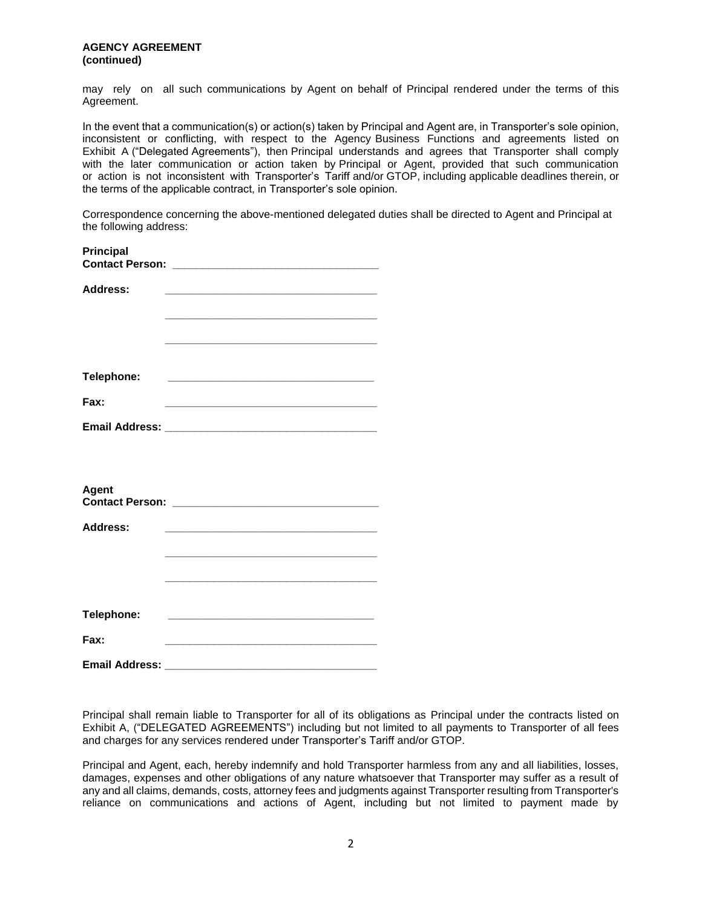may rely on all such communications by Agent on behalf of Principal rendered under the terms of this Agreement.

In the event that a communication(s) or action(s) taken by Principal and Agent are, in Transporter's sole opinion, inconsistent or conflicting, with respect to the Agency Business Functions and agreements listed on Exhibit A ("Delegated Agreements"), then Principal understands and agrees that Transporter shall comply with the later communication or action taken by Principal or Agent, provided that such communication or action is not inconsistent with Transporter's Tariff and/or GTOP, including applicable deadlines therein, or the terms of the applicable contract, in Transporter's sole opinion.

Correspondence concerning the above-mentioned delegated duties shall be directed to Agent and Principal at the following address:

| Principal             |                                                                                                                        |  |
|-----------------------|------------------------------------------------------------------------------------------------------------------------|--|
| <b>Address:</b>       | <u> 1980 - Johann Stein, marwolaethau a bhann an t-Amhain an t-Amhain an t-Amhain an t-Amhain an t-Amhain an t-A</u>   |  |
|                       |                                                                                                                        |  |
| Telephone:            | <u> 1989 - Johann Stein, mars an deus Amerikaansk kommunister (</u>                                                    |  |
| Fax:                  | <u> 1989 - Johann Harry Harry Harry Harry Harry Harry Harry Harry Harry Harry Harry Harry Harry Harry Harry Harry</u>  |  |
|                       |                                                                                                                        |  |
| <b>Agent</b>          |                                                                                                                        |  |
| <b>Address:</b>       | <u> 1989 - Johann John Stone, market fan it ferskearre fan it ferskearre fan it ferskearre fan it ferskearre fan i</u> |  |
|                       |                                                                                                                        |  |
| Telephone:            |                                                                                                                        |  |
| Fax:                  | <u> 1980 - Johann John Stone, mars and de final and de final and design and design and design and design and des</u>   |  |
| <b>Email Address:</b> |                                                                                                                        |  |

Principal shall remain liable to Transporter for all of its obligations as Principal under the contracts listed on Exhibit A, ("DELEGATED AGREEMENTS") including but not limited to all payments to Transporter of all fees and charges for any services rendered under Transporter's Tariff and/or GTOP.

Principal and Agent, each, hereby indemnify and hold Transporter harmless from any and all liabilities, losses, damages, expenses and other obligations of any nature whatsoever that Transporter may suffer as a result of any and all claims, demands, costs, attorney fees and judgments against Transporter resulting from Transporter's reliance on communications and actions of Agent, including but not limited to payment made by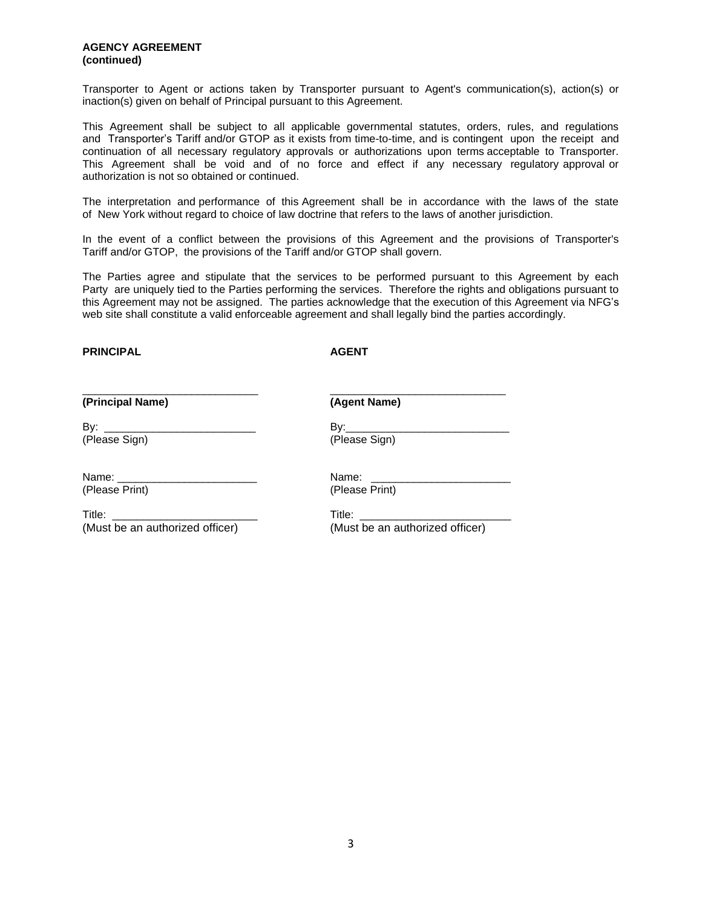#### **AGENCY AGREEMENT (continued)**

Transporter to Agent or actions taken by Transporter pursuant to Agent's communication(s), action(s) or inaction(s) given on behalf of Principal pursuant to this Agreement.

This Agreement shall be subject to all applicable governmental statutes, orders, rules, and regulations and Transporter's Tariff and/or GTOP as it exists from time-to-time, and is contingent upon the receipt and continuation of all necessary regulatory approvals or authorizations upon terms acceptable to Transporter. This Agreement shall be void and of no force and effect if any necessary regulatory approval or authorization is not so obtained or continued.

The interpretation and performance of this Agreement shall be in accordance with the laws of the state of New York without regard to choice of law doctrine that refers to the laws of another jurisdiction.

In the event of a conflict between the provisions of this Agreement and the provisions of Transporter's Tariff and/or GTOP, the provisions of the Tariff and/or GTOP shall govern.

The Parties agree and stipulate that the services to be performed pursuant to this Agreement by each Party are uniquely tied to the Parties performing the services. Therefore the rights and obligations pursuant to this Agreement may not be assigned. The parties acknowledge that the execution of this Agreement via NFG's web site shall constitute a valid enforceable agreement and shall legally bind the parties accordingly.

#### **PRINCIPAL AGENT**

| (Principal Name)                                                                                                                                                                                                                            | (Agent Name)                                                                                                   |
|---------------------------------------------------------------------------------------------------------------------------------------------------------------------------------------------------------------------------------------------|----------------------------------------------------------------------------------------------------------------|
|                                                                                                                                                                                                                                             |                                                                                                                |
| By:<br><u> 1980 - Jan Stein Stein Stein Stein Stein Stein Stein Stein Stein Stein Stein Stein Stein Stein Stein Stein Stein Stein Stein Stein Stein Stein Stein Stein Stein Stein Stein Stein Stein Stein Stein Stein Stein Stein Stein</u> | By: a controller to the set of the set of the set of the set of the set of the set of the set of the set of th |
| (Please Sign)                                                                                                                                                                                                                               | (Please Sign)                                                                                                  |
| Name: ___________________________                                                                                                                                                                                                           | Name:                                                                                                          |
| (Please Print)                                                                                                                                                                                                                              | (Please Print)                                                                                                 |
| Title: ___________________________                                                                                                                                                                                                          |                                                                                                                |
| (Must be an authorized officer)                                                                                                                                                                                                             | (Must be an authorized officer)                                                                                |